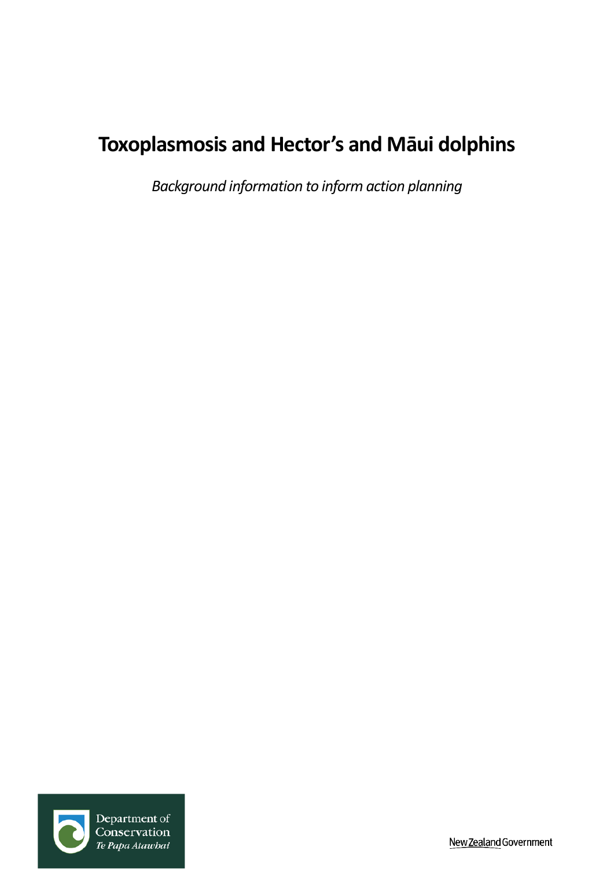# **Toxoplasmosis and Hector's and Māui dolphins**

*Background information to inform action planning*



New Zealand Government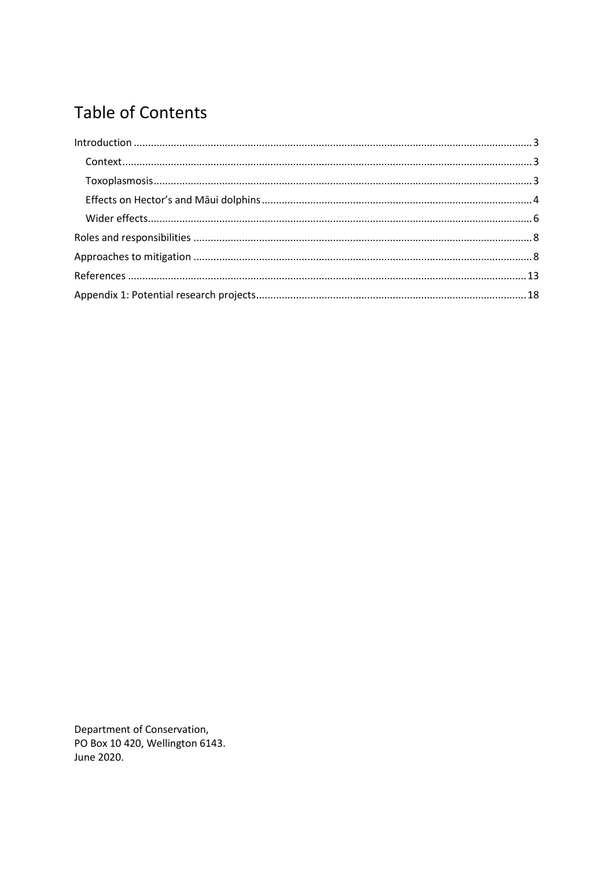# **Table of Contents**

Department of Conservation, PO Box 10 420, Wellington 6143. June 2020.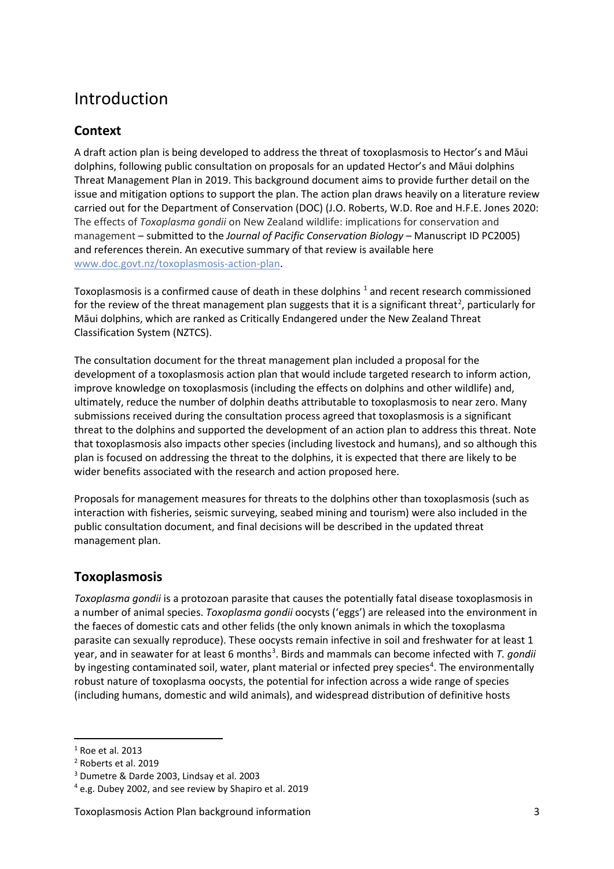## <span id="page-2-0"></span>Introduction

### <span id="page-2-1"></span>**Context**

A draft action plan is being developed to address the threat of toxoplasmosis to Hector's and Māui dolphins, following public consultation on proposals for an updated Hector's and Māui dolphins Threat Management Plan in 2019. This background document aims to provide further detail on the issue and mitigation options to support the plan. The action plan draws heavily on a literature review carried out for the Department of Conservation (DOC) (J.O. Roberts, W.D. Roe and H.F.E. Jones 2020: The effects of *Toxoplasma gondii* on New Zealand wildlife: implications for conservation and management – submitted to the *Journal of Pacific Conservation Biology* – Manuscript ID PC2005) and references therein. An executive summary of that review is available here [www.doc.govt.nz/toxoplasmosis](http://www.doc.govt.nz/toxoplasmosis-action-plan)-action-plan.

Toxoplasmosis is a confirmed cause of death in these dolphins  $1$  and recent research commissioned for the review of the threat management plan suggests that it is a significant threat<sup>[2](#page-2-4)</sup>, particularly for Māui dolphins, which are ranked as Critically Endangered under the New Zealand Threat Classification System (NZTCS).

The consultation document for the threat management plan included a proposal for the development of a toxoplasmosis action plan that would include targeted research to inform action, improve knowledge on toxoplasmosis (including the effects on dolphins and other wildlife) and, ultimately, reduce the number of dolphin deaths attributable to toxoplasmosis to near zero. Many submissions received during the consultation process agreed that toxoplasmosis is a significant threat to the dolphins and supported the development of an action plan to address this threat. Note that toxoplasmosis also impacts other species (including livestock and humans), and so although this plan is focused on addressing the threat to the dolphins, it is expected that there are likely to be wider benefits associated with the research and action proposed here.

Proposals for management measures for threats to the dolphins other than toxoplasmosis (such as interaction with fisheries, seismic surveying, seabed mining and tourism) were also included in the public consultation document, and final decisions will be described in the updated threat management plan.

### <span id="page-2-2"></span>**Toxoplasmosis**

*Toxoplasma gondii* is a protozoan parasite that causes the potentially fatal disease toxoplasmosis in a number of animal species. *Toxoplasma gondii* oocysts ('eggs') are released into the environment in the faeces of domestic cats and other felids (the only known animals in which the toxoplasma parasite can sexually reproduce). These oocysts remain infective in soil and freshwater for at least 1 year, and in seawater for at least 6 months<sup>[3](#page-2-5)</sup>. Birds and mammals can become infected with *T. gondii* by ingesting contaminated soil, water, plant material or infected prey species<sup>[4](#page-2-6)</sup>. The environmentally robust nature of toxoplasma oocysts, the potential for infection across a wide range of species (including humans, domestic and wild animals), and widespread distribution of definitive hosts

<span id="page-2-3"></span><sup>1</sup> Roe et al. 2013

<span id="page-2-4"></span><sup>2</sup> Roberts et al. 2019

<span id="page-2-5"></span><sup>3</sup> Dumetre & Darde 2003, Lindsay et al. 2003

<span id="page-2-6"></span><sup>4</sup> e.g. Dubey 2002, and see review by Shapiro et al. 2019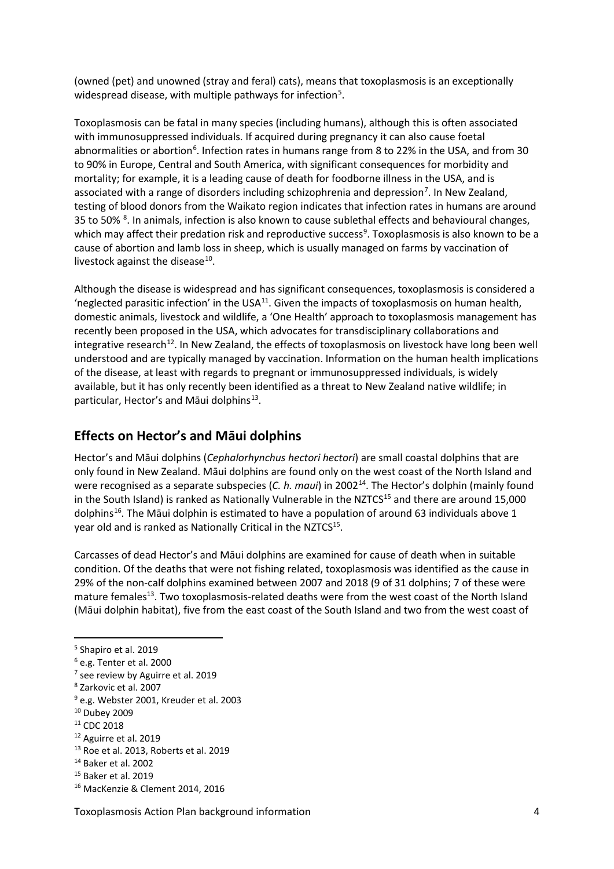(owned (pet) and unowned (stray and feral) cats), means that toxoplasmosis is an exceptionally widespread disease, with multiple pathways for infection<sup>[5](#page-3-1)</sup>.

Toxoplasmosis can be fatal in many species (including humans), although this is often associated with immunosuppressed individuals. If acquired during pregnancy it can also cause foetal abnormalities or abortion<sup>[6](#page-3-2)</sup>. Infection rates in humans range from 8 to 22% in the USA, and from 30 to 90% in Europe, Central and South America, with significant consequences for morbidity and mortality; for example, it is a leading cause of death for foodborne illness in the USA, and is associated with a range of disorders including schizophrenia and depression<sup>[7](#page-3-3)</sup>. In New Zealand, testing of blood donors from the Waikato region indicates that infection rates in humans are around 35 to 50%<sup>[8](#page-3-4)</sup>. In animals, infection is also known to cause sublethal effects and behavioural changes, which may affect their predation risk and reproductive success<sup>[9](#page-3-5)</sup>. Toxoplasmosis is also known to be a cause of abortion and lamb loss in sheep, which is usually managed on farms by vaccination of livestock against the disease $^{10}$ .

Although the disease is widespread and has significant consequences, toxoplasmosis is considered a 'neglected parasitic infection' in the USA $^{11}$ . Given the impacts of toxoplasmosis on human health, domestic animals, livestock and wildlife, a 'One Health' approach to toxoplasmosis management has recently been proposed in the USA, which advocates for transdisciplinary collaborations and integrative research<sup>12</sup>. In New Zealand, the effects of toxoplasmosis on livestock have long been well understood and are typically managed by vaccination. Information on the human health implications of the disease, at least with regards to pregnant or immunosuppressed individuals, is widely available, but it has only recently been identified as a threat to New Zealand native wildlife; in particular, Hector's and Māui dolphins<sup>13</sup>.

### <span id="page-3-0"></span>**Effects on Hector's and Māui dolphins**

Hector's and Māui dolphins (*Cephalorhynchus hectori hectori*) are small coastal dolphins that are only found in New Zealand. Māui dolphins are found only on the west coast of the North Island and were recognised as a separate subspecies (*C. h. maui*) in 2002[14.](#page-3-10) The Hector's dolphin (mainly found in the South Island) is ranked as Nationally Vulnerable in the NZTCS<sup>15</sup> and there are around 15,000 dolphins<sup>[16](#page-3-12)</sup>. The Māui dolphin is estimated to have a population of around 63 individuals above 1 year old and is ranked as Nationally Critical in the NZTCS<sup>15</sup>.

Carcasses of dead Hector's and Māui dolphins are examined for cause of death when in suitable condition. Of the deaths that were not fishing related, toxoplasmosis was identified as the cause in 29% of the non-calf dolphins examined between 2007 and 2018 (9 of 31 dolphins; 7 of these were mature females<sup>13</sup>. Two toxoplasmosis-related deaths were from the west coast of the North Island (Māui dolphin habitat), five from the east coast of the South Island and two from the west coast of

<span id="page-3-1"></span><sup>5</sup> Shapiro et al. 2019

<span id="page-3-2"></span><sup>6</sup> e.g. Tenter et al. 2000

<span id="page-3-3"></span><sup>&</sup>lt;sup>7</sup> see review by Aguirre et al. 2019

<span id="page-3-4"></span><sup>8</sup> Zarkovic et al. 2007

<span id="page-3-5"></span><sup>9</sup> e.g. Webster 2001, Kreuder et al. 2003

<span id="page-3-6"></span><sup>10</sup> Dubey 2009

<span id="page-3-7"></span><sup>&</sup>lt;sup>11</sup> CDC 2018

<span id="page-3-8"></span><sup>12</sup> Aguirre et al. 2019

<span id="page-3-9"></span><sup>13</sup> Roe et al. 2013, Roberts et al. 2019

<span id="page-3-10"></span><sup>14</sup> Baker et al. 2002

<span id="page-3-11"></span><sup>15</sup> Baker et al. 2019

<span id="page-3-12"></span><sup>16</sup> MacKenzie & Clement 2014, 2016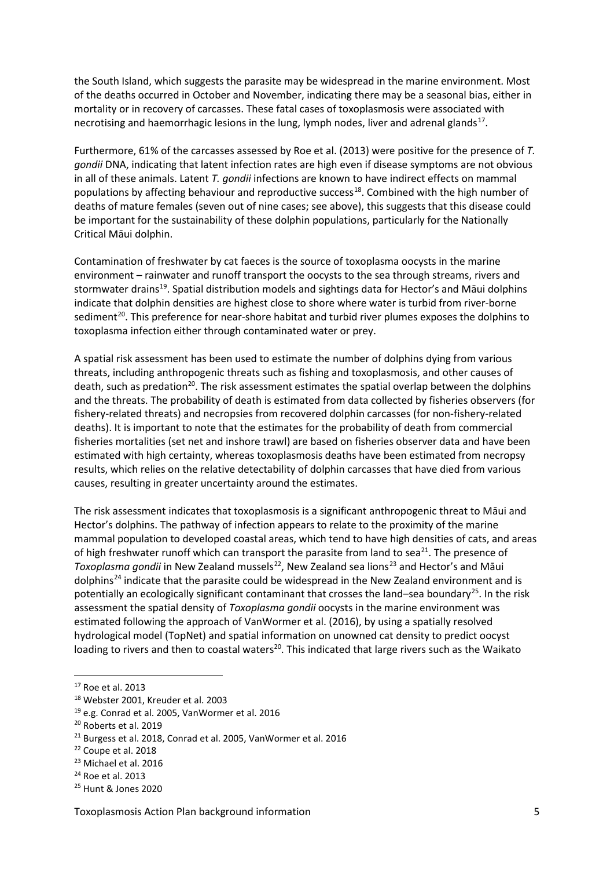the South Island, which suggests the parasite may be widespread in the marine environment. Most of the deaths occurred in October and November, indicating there may be a seasonal bias, either in mortality or in recovery of carcasses. These fatal cases of toxoplasmosis were associated with necrotising and haemorrhagic lesions in the lung, lymph nodes, liver and adrenal glands<sup>17</sup>.

Furthermore, 61% of the carcasses assessed by Roe et al. (2013) were positive for the presence of *T. gondii* DNA, indicating that latent infection rates are high even if disease symptoms are not obvious in all of these animals. Latent *T. gondii* infections are known to have indirect effects on mammal populations by affecting behaviour and reproductive success<sup>18</sup>. Combined with the high number of deaths of mature females (seven out of nine cases; see above), this suggests that this disease could be important for the sustainability of these dolphin populations, particularly for the Nationally Critical Māui dolphin.

Contamination of freshwater by cat faeces is the source of toxoplasma oocysts in the marine environment – rainwater and runoff transport the oocysts to the sea through streams, rivers and stormwater drains<sup>[19](#page-4-2)</sup>. Spatial distribution models and sightings data for Hector's and Māui dolphins indicate that dolphin densities are highest close to shore where water is turbid from river-borne sediment<sup>[20](#page-4-3)</sup>. This preference for near-shore habitat and turbid river plumes exposes the dolphins to toxoplasma infection either through contaminated water or prey.

A spatial risk assessment has been used to estimate the number of dolphins dying from various threats, including anthropogenic threats such as fishing and toxoplasmosis, and other causes of death, such as predation<sup>20</sup>. The risk assessment estimates the spatial overlap between the dolphins and the threats. The probability of death is estimated from data collected by fisheries observers (for fishery-related threats) and necropsies from recovered dolphin carcasses (for non-fishery-related deaths). It is important to note that the estimates for the probability of death from commercial fisheries mortalities (set net and inshore trawl) are based on fisheries observer data and have been estimated with high certainty, whereas toxoplasmosis deaths have been estimated from necropsy results, which relies on the relative detectability of dolphin carcasses that have died from various causes, resulting in greater uncertainty around the estimates.

The risk assessment indicates that toxoplasmosis is a significant anthropogenic threat to Māui and Hector's dolphins. The pathway of infection appears to relate to the proximity of the marine mammal population to developed coastal areas, which tend to have high densities of cats, and areas of high freshwater runoff which can transport the parasite from land to sea<sup>21</sup>. The presence of *Toxoplasma gondii* in New Zealand mussels<sup>22</sup>, New Zealand sea lions<sup>[23](#page-4-6)</sup> and Hector's and Māui dolphins<sup>[24](#page-4-7)</sup> indicate that the parasite could be widespread in the New Zealand environment and is potentially an ecologically significant contaminant that crosses the land–sea boundary<sup>[25](#page-4-8)</sup>. In the risk assessment the spatial density of *Toxoplasma gondii* oocysts in the marine environment was estimated following the approach of VanWormer et al. (2016), by using a spatially resolved hydrological model (TopNet) and spatial information on unowned cat density to predict oocyst loading to rivers and then to coastal waters<sup>20</sup>. This indicated that large rivers such as the Waikato

<span id="page-4-0"></span><sup>17</sup> Roe et al. 2013

<span id="page-4-1"></span><sup>18</sup> Webster 2001, Kreuder et al. 2003

<span id="page-4-2"></span><sup>19</sup> e.g. Conrad et al. 2005, VanWormer et al. 2016

<span id="page-4-3"></span><sup>20</sup> Roberts et al. 2019

<span id="page-4-4"></span><sup>21</sup> Burgess et al. 2018, Conrad et al. 2005, VanWormer et al. 2016

<span id="page-4-5"></span><sup>22</sup> Coupe et al. 2018

<span id="page-4-6"></span><sup>23</sup> Michael et al. 2016

<span id="page-4-7"></span><sup>24</sup> Roe et al. 2013

<span id="page-4-8"></span><sup>25</sup> Hunt & Jones 2020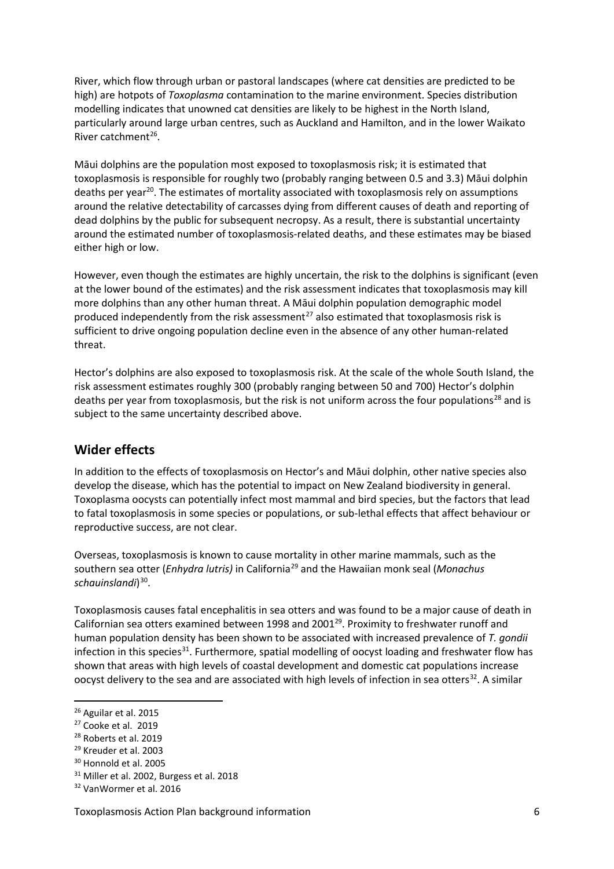River, which flow through urban or pastoral landscapes (where cat densities are predicted to be high) are hotpots of *Toxoplasma* contamination to the marine environment. Species distribution modelling indicates that unowned cat densities are likely to be highest in the North Island, particularly around large urban centres, such as Auckland and Hamilton, and in the lower Waikato River catchment<sup>26</sup>.

Māui dolphins are the population most exposed to toxoplasmosis risk; it is estimated that toxoplasmosis is responsible for roughly two (probably ranging between 0.5 and 3.3) Māui dolphin deaths per year<sup>20</sup>. The estimates of mortality associated with toxoplasmosis rely on assumptions around the relative detectability of carcasses dying from different causes of death and reporting of dead dolphins by the public for subsequent necropsy. As a result, there is substantial uncertainty around the estimated number of toxoplasmosis-related deaths, and these estimates may be biased either high or low.

However, even though the estimates are highly uncertain, the risk to the dolphins is significant (even at the lower bound of the estimates) and the risk assessment indicates that toxoplasmosis may kill more dolphins than any other human threat. A Māui dolphin population demographic model produced independently from the risk assessment<sup>[27](#page-5-2)</sup> also estimated that toxoplasmosis risk is sufficient to drive ongoing population decline even in the absence of any other human-related threat.

Hector's dolphins are also exposed to toxoplasmosis risk. At the scale of the whole South Island, the risk assessment estimates roughly 300 (probably ranging between 50 and 700) Hector's dolphin deaths per year from toxoplasmosis, but the risk is not uniform across the four populations<sup>[28](#page-5-3)</sup> and is subject to the same uncertainty described above.

#### <span id="page-5-0"></span>**Wider effects**

In addition to the effects of toxoplasmosis on Hector's and Māui dolphin, other native species also develop the disease, which has the potential to impact on New Zealand biodiversity in general. Toxoplasma oocysts can potentially infect most mammal and bird species, but the factors that lead to fatal toxoplasmosis in some species or populations, or sub-lethal effects that affect behaviour or reproductive success, are not clear.

Overseas, toxoplasmosis is known to cause mortality in other marine mammals, such as the southern sea otter (*Enhydra lutris)* in California[29](#page-5-4) and the Hawaiian monk seal (*Monachus*  schauinslandi<sup>[30](#page-5-5)</sup>.

Toxoplasmosis causes fatal encephalitis in sea otters and was found to be a major cause of death in Californian sea otters examined between 1998 and 2001<sup>29</sup>. Proximity to freshwater runoff and human population density has been shown to be associated with increased prevalence of *T. gondii* infection in this species<sup>31</sup>. Furthermore, spatial modelling of oocyst loading and freshwater flow has shown that areas with high levels of coastal development and domestic cat populations increase oocyst delivery to the sea and are associated with high levels of infection in sea otters<sup>32</sup>. A similar

- <span id="page-5-2"></span><sup>27</sup> Cooke et al. 2019
- <span id="page-5-3"></span><sup>28</sup> Roberts et al. 2019
- <span id="page-5-4"></span><sup>29</sup> Kreuder et al. 2003

<span id="page-5-6"></span><sup>31</sup> Miller et al. 2002, Burgess et al. 2018

<span id="page-5-1"></span><sup>26</sup> Aguilar et al. 2015

<span id="page-5-5"></span><sup>30</sup> Honnold et al. 2005

<span id="page-5-7"></span><sup>32</sup> VanWormer et al. 2016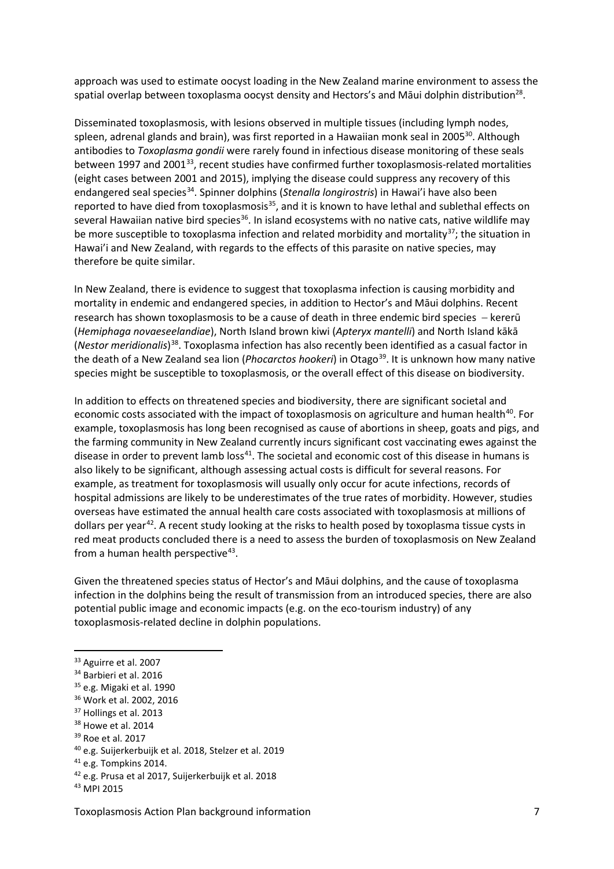approach was used to estimate oocyst loading in the New Zealand marine environment to assess the spatial overlap between toxoplasma oocyst density and Hectors's and Māui dolphin distribution<sup>28</sup>.

Disseminated toxoplasmosis, with lesions observed in multiple tissues (including lymph nodes, spleen, adrenal glands and brain), was first reported in a Hawaiian monk seal in 2005<sup>30</sup>. Although antibodies to *Toxoplasma gondii* were rarely found in infectious disease monitoring of these seals between 1997 and 2001<sup>[33](#page-6-0)</sup>, recent studies have confirmed further toxoplasmosis-related mortalities (eight cases between 2001 and 2015), implying the disease could suppress any recovery of this endangered seal species[34](#page-6-1). Spinner dolphins (*Stenalla longirostris*) in Hawai'i have also been reported to have died from toxoplasmosis<sup>[35](#page-6-2)</sup>, and it is known to have lethal and sublethal effects on several Hawaiian native bird species<sup>36</sup>. In island ecosystems with no native cats, native wildlife may be more susceptible to toxoplasma infection and related morbidity and mortality<sup>[37](#page-6-4)</sup>; the situation in Hawai'i and New Zealand, with regards to the effects of this parasite on native species, may therefore be quite similar.

In New Zealand, there is evidence to suggest that toxoplasma infection is causing morbidity and mortality in endemic and endangered species, in addition to Hector's and Māui dolphins. Recent research has shown toxoplasmosis to be a cause of death in three endemic bird species – kererū (*Hemiphaga novaeseelandiae*), North Island brown kiwi (*Apteryx mantelli*) and North Island kākā (*Nestor meridionalis*) [38](#page-6-5). Toxoplasma infection has also recently been identified as a casual factor in the death of a New Zealand sea lion (*Phocarctos hookeri*) in Otago<sup>[39](#page-6-6)</sup>. It is unknown how many native species might be susceptible to toxoplasmosis, or the overall effect of this disease on biodiversity.

In addition to effects on threatened species and biodiversity, there are significant societal and economic costs associated with the impact of toxoplasmosis on agriculture and human health<sup>40</sup>. For example, toxoplasmosis has long been recognised as cause of abortions in sheep, goats and pigs, and the farming community in New Zealand currently incurs significant cost vaccinating ewes against the disease in order to prevent lamb loss<sup>[41](#page-6-8)</sup>. The societal and economic cost of this disease in humans is also likely to be significant, although assessing actual costs is difficult for several reasons. For example, as treatment for toxoplasmosis will usually only occur for acute infections, records of hospital admissions are likely to be underestimates of the true rates of morbidity. However, studies overseas have estimated the annual health care costs associated with toxoplasmosis at millions of dollars per year<sup>[42](#page-6-9)</sup>. A recent study looking at the risks to health posed by toxoplasma tissue cysts in red meat products concluded there is a need to assess the burden of toxoplasmosis on New Zealand from a human health perspective $43$ .

Given the threatened species status of Hector's and Māui dolphins, and the cause of toxoplasma infection in the dolphins being the result of transmission from an introduced species, there are also potential public image and economic impacts (e.g. on the eco-tourism industry) of any toxoplasmosis-related decline in dolphin populations.

<span id="page-6-0"></span><sup>33</sup> Aguirre et al. 2007

<span id="page-6-1"></span><sup>34</sup> Barbieri et al. 2016

<span id="page-6-2"></span><sup>&</sup>lt;sup>35</sup> e.g. Migaki et al. 1990

<span id="page-6-3"></span><sup>36</sup> Work et al. 2002, 2016

<span id="page-6-4"></span><sup>&</sup>lt;sup>37</sup> Hollings et al. 2013

<span id="page-6-5"></span><sup>&</sup>lt;sup>38</sup> Howe et al. 2014

<span id="page-6-6"></span><sup>&</sup>lt;sup>39</sup> Roe et al. 2017

<span id="page-6-7"></span><sup>40</sup> e.g. Suijerkerbuijk et al. 2018, Stelzer et al. 2019

<span id="page-6-8"></span><sup>&</sup>lt;sup>41</sup> e.g. Tompkins 2014.

<span id="page-6-9"></span><sup>42</sup> e.g. Prusa et al 2017, Suijerkerbuijk et al. 2018

<span id="page-6-10"></span><sup>43</sup> MPI 2015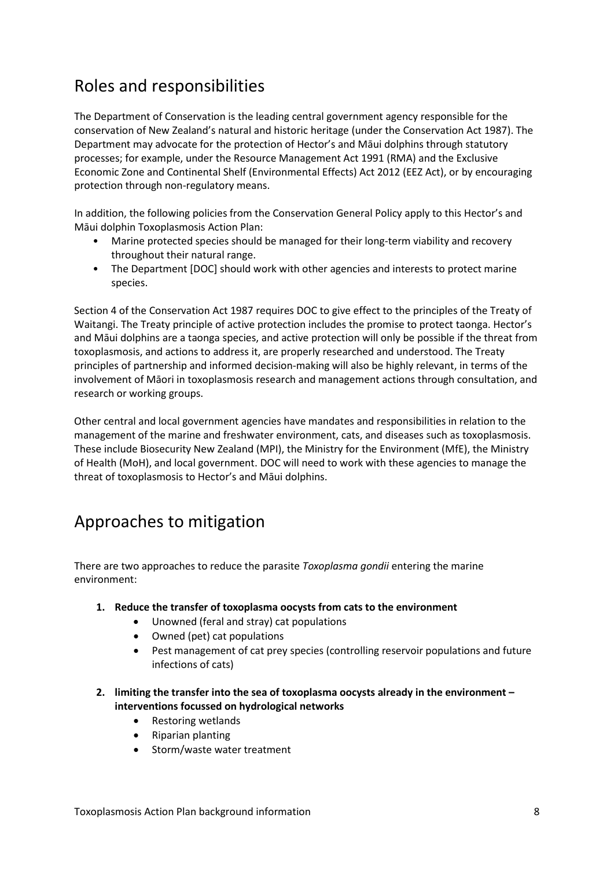# <span id="page-7-0"></span>Roles and responsibilities

The Department of Conservation is the leading central government agency responsible for the conservation of New Zealand's natural and historic heritage (under the Conservation Act 1987). The Department may advocate for the protection of Hector's and Māui dolphins through statutory processes; for example, under the Resource Management Act 1991 (RMA) and the Exclusive Economic Zone and Continental Shelf (Environmental Effects) Act 2012 (EEZ Act), or by encouraging protection through non-regulatory means.

In addition, the following policies from the Conservation General Policy apply to this Hector's and Māui dolphin Toxoplasmosis Action Plan:

- Marine protected species should be managed for their long-term viability and recovery throughout their natural range.
- The Department [DOC] should work with other agencies and interests to protect marine species.

Section 4 of the Conservation Act 1987 requires DOC to give effect to the principles of the Treaty of Waitangi. The Treaty principle of active protection includes the promise to protect taonga. Hector's and Māui dolphins are a taonga species, and active protection will only be possible if the threat from toxoplasmosis, and actions to address it, are properly researched and understood. The Treaty principles of partnership and informed decision-making will also be highly relevant, in terms of the involvement of Māori in toxoplasmosis research and management actions through consultation, and research or working groups.

Other central and local government agencies have mandates and responsibilities in relation to the management of the marine and freshwater environment, cats, and diseases such as toxoplasmosis. These include Biosecurity New Zealand (MPI), the Ministry for the Environment (MfE), the Ministry of Health (MoH), and local government. DOC will need to work with these agencies to manage the threat of toxoplasmosis to Hector's and Māui dolphins.

## <span id="page-7-1"></span>Approaches to mitigation

There are two approaches to reduce the parasite *Toxoplasma gondii* entering the marine environment:

- **1. Reduce the transfer of toxoplasma oocysts from cats to the environment**
	- Unowned (feral and stray) cat populations
	- Owned (pet) cat populations
	- Pest management of cat prey species (controlling reservoir populations and future infections of cats)
- **2. limiting the transfer into the sea of toxoplasma oocysts already in the environment – interventions focussed on hydrological networks** 
	- Restoring wetlands
	- Riparian planting
	- Storm/waste water treatment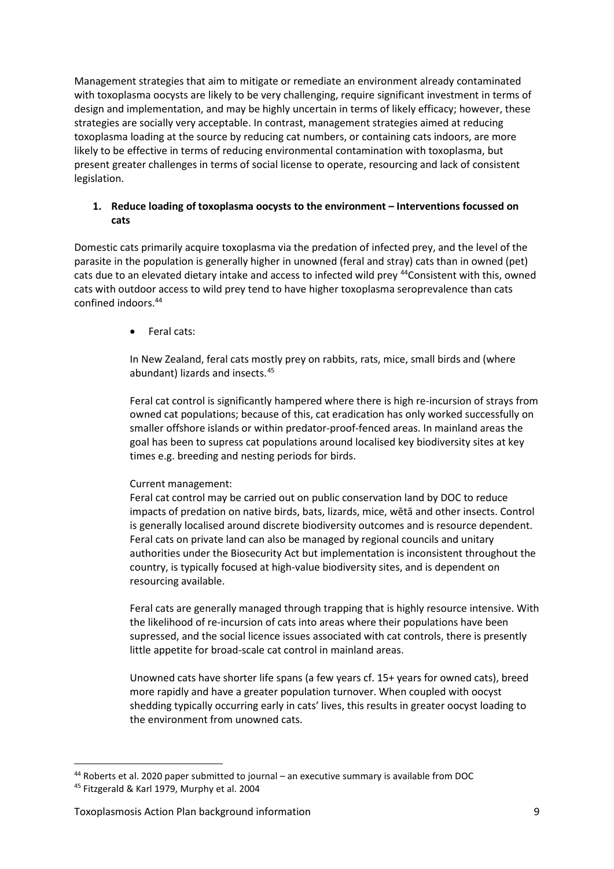Management strategies that aim to mitigate or remediate an environment already contaminated with toxoplasma oocysts are likely to be very challenging, require significant investment in terms of design and implementation, and may be highly uncertain in terms of likely efficacy; however, these strategies are socially very acceptable. In contrast, management strategies aimed at reducing toxoplasma loading at the source by reducing cat numbers, or containing cats indoors, are more likely to be effective in terms of reducing environmental contamination with toxoplasma, but present greater challenges in terms of social license to operate, resourcing and lack of consistent legislation.

#### **1. Reduce loading of toxoplasma oocysts to the environment – Interventions focussed on cats**

Domestic cats primarily acquire toxoplasma via the predation of infected prey, and the level of the parasite in the population is generally higher in unowned (feral and stray) cats than in owned (pet) cats due to an elevated dietary intake and access to infected wild prey <sup>44</sup>Consistent with this, owned cats with outdoor access to wild prey tend to have higher toxoplasma seroprevalence than cats confined indoors. 44

• Feral cats:

In New Zealand, feral cats mostly prey on rabbits, rats, mice, small birds and (where abundant) lizards and insects. [45](#page-8-1)

Feral cat control is significantly hampered where there is high re-incursion of strays from owned cat populations; because of this, cat eradication has only worked successfully on smaller offshore islands or within predator-proof-fenced areas. In mainland areas the goal has been to supress cat populations around localised key biodiversity sites at key times e.g. breeding and nesting periods for birds.

#### Current management:

Feral cat control may be carried out on public conservation land by DOC to reduce impacts of predation on native birds, bats, lizards, mice, wētā and other insects. Control is generally localised around discrete biodiversity outcomes and is resource dependent. Feral cats on private land can also be managed by regional councils and unitary authorities under the Biosecurity Act but implementation is inconsistent throughout the country, is typically focused at high-value biodiversity sites, and is dependent on resourcing available.

Feral cats are generally managed through trapping that is highly resource intensive. With the likelihood of re-incursion of cats into areas where their populations have been supressed, and the social licence issues associated with cat controls, there is presently little appetite for broad-scale cat control in mainland areas.

Unowned cats have shorter life spans (a few years cf. 15+ years for owned cats), breed more rapidly and have a greater population turnover. When coupled with oocyst shedding typically occurring early in cats' lives, this results in greater oocyst loading to the environment from unowned cats.

<span id="page-8-0"></span><sup>44</sup> Roberts et al. 2020 paper submitted to journal – an executive summary is available from DOC

<span id="page-8-1"></span><sup>45</sup> Fitzgerald & Karl 1979, Murphy et al. 2004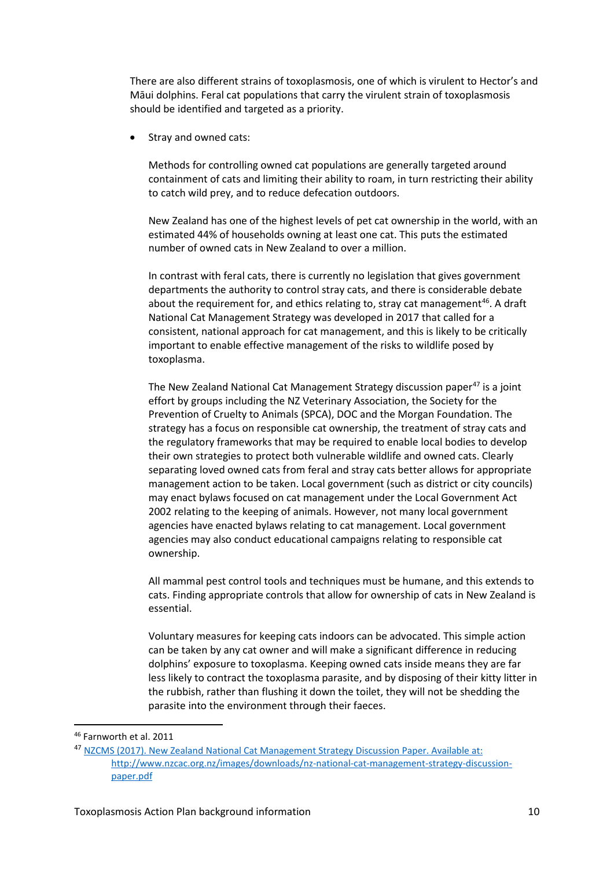There are also different strains of toxoplasmosis, one of which is virulent to Hector's and Māui dolphins. Feral cat populations that carry the virulent strain of toxoplasmosis should be identified and targeted as a priority.

Stray and owned cats:

Methods for controlling owned cat populations are generally targeted around containment of cats and limiting their ability to roam, in turn restricting their ability to catch wild prey, and to reduce defecation outdoors.

New Zealand has one of the highest levels of pet cat ownership in the world, with an estimated 44% of households owning at least one cat. This puts the estimated number of owned cats in New Zealand to over a million.

In contrast with feral cats, there is currently no legislation that gives government departments the authority to control stray cats, and there is considerable debate about the requirement for, and ethics relating to, stray cat management<sup>46</sup>. A draft National Cat Management Strategy was developed in 2017 that called for a consistent, national approach for cat management, and this is likely to be critically important to enable effective management of the risks to wildlife posed by toxoplasma.

The New Zealand National Cat Management Strategy discussion paper<sup>[47](#page-9-1)</sup> is a joint effort by groups including the NZ Veterinary Association, the Society for the Prevention of Cruelty to Animals (SPCA), DOC and the Morgan Foundation. The strategy has a focus on responsible cat ownership, the treatment of stray cats and the regulatory frameworks that may be required to enable local bodies to develop their own strategies to protect both vulnerable wildlife and owned cats. Clearly separating loved owned cats from feral and stray cats better allows for appropriate management action to be taken. Local government (such as district or city councils) may enact bylaws focused on cat management under the Local Government Act 2002 relating to the keeping of animals. However, not many local government agencies have enacted bylaws relating to cat management. Local government agencies may also conduct educational campaigns relating to responsible cat ownership.

All mammal pest control tools and techniques must be humane, and this extends to cats. Finding appropriate controls that allow for ownership of cats in New Zealand is essential.

Voluntary measures for keeping cats indoors can be advocated. This simple action can be taken by any cat owner and will make a significant difference in reducing dolphins' exposure to toxoplasma. Keeping owned cats inside means they are far less likely to contract the toxoplasma parasite, and by disposing of their kitty litter in the rubbish, rather than flushing it down the toilet, they will not be shedding the parasite into the environment through their faeces.

<span id="page-9-0"></span><sup>46</sup> [Farnworth](https://www.zotero.org/google-docs/?O0HTmz) [et al.](https://www.zotero.org/google-docs/?O0HTmz) [2011](https://www.zotero.org/google-docs/?O0HTmz)

<span id="page-9-1"></span><sup>47</sup> NZCMS (2017). New Zealand National Cat Management Strategy Discussion Paper. Available at: [http://www.nzcac.org.nz/images/downloads/nz](file:///D:%5CUsers%5Cygan%5CAppData%5CLocal%5CMicrosoft%5CWindows%5CTemporary%20Internet%20Files%5CContent.Outlook%5CCPX3ZW53%5CNZCMS%20(2017).%20New%20Zealand%20National%20Cat%20Management%20Strategy%20Discussion%20Paper.%20Available%20at:%20http:%5Cwww.nzcac.org.nz%5Cimages%5Cdownloads%5Cnz-national-cat-management-strategy-discussion-paper.pdf)-national-cat-management-strategy-discussion[paper.pdf](file:///D:%5CUsers%5Cygan%5CAppData%5CLocal%5CMicrosoft%5CWindows%5CTemporary%20Internet%20Files%5CContent.Outlook%5CCPX3ZW53%5CNZCMS%20(2017).%20New%20Zealand%20National%20Cat%20Management%20Strategy%20Discussion%20Paper.%20Available%20at:%20http:%5Cwww.nzcac.org.nz%5Cimages%5Cdownloads%5Cnz-national-cat-management-strategy-discussion-paper.pdf)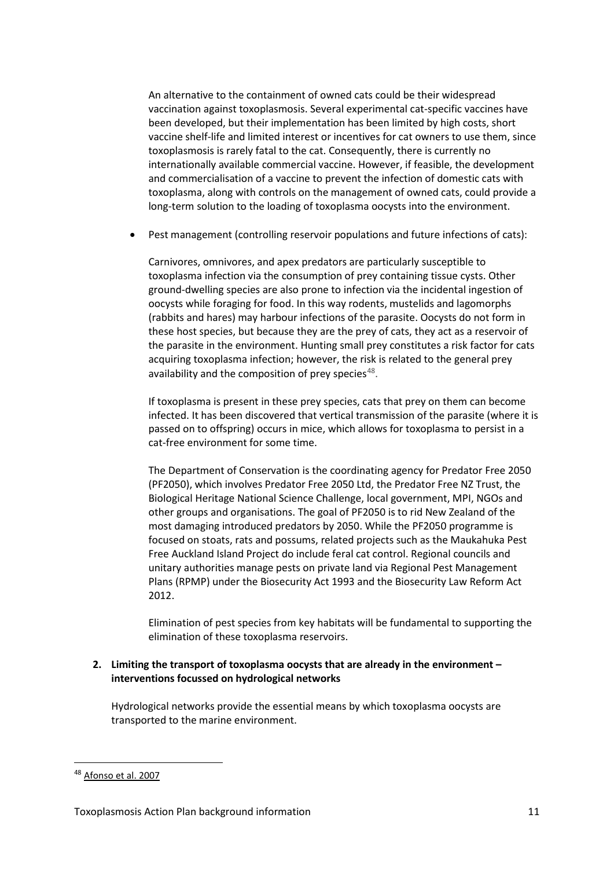An alternative to the containment of owned cats could be their widespread vaccination against toxoplasmosis. Several experimental cat-specific vaccines have been developed, but their implementation has been limited by high costs, short vaccine shelf-life and limited interest or incentives for cat owners to use them, since toxoplasmosis is rarely fatal to the cat. Consequently, there is currently no internationally available commercial vaccine. However, if feasible, the development and commercialisation of a vaccine to prevent the infection of domestic cats with toxoplasma, along with controls on the management of owned cats, could provide a long-term solution to the loading of toxoplasma oocysts into the environment.

• Pest management (controlling reservoir populations and future infections of cats):

Carnivores, omnivores, and apex predators are particularly susceptible to toxoplasma infection via the consumption of prey containing tissue cysts. Other ground-dwelling species are also prone to infection via the incidental ingestion of oocysts while foraging for food. In this way rodents, mustelids and lagomorphs (rabbits and hares) may harbour infections of the parasite. Oocysts do not form in these host species, but because they are the prey of cats, they act as a reservoir of the parasite in the environment. Hunting small prey constitutes a risk factor for cats acquiring toxoplasma infection; however, the risk is related to the general prey availability and the composition of prey species $48$ .

If toxoplasma is present in these prey species, cats that prey on them can become infected. It has been discovered that vertical transmission of the parasite (where it is passed on to offspring) occurs in mice, which allows for toxoplasma to persist in a cat-free environment for some time.

The Department of Conservation is the coordinating agency for Predator Free 2050 (PF2050), which involves Predator Free 2050 Ltd, the Predator Free NZ Trust, the Biological Heritage National Science Challenge, local government, MPI, NGOs and other groups and organisations. The goal of PF2050 is to rid New Zealand of the most damaging introduced predators by 2050. While the PF2050 programme is focused on stoats, rats and possums, related projects such as the Maukahuka Pest Free Auckland Island Project do include feral cat control. Regional councils and unitary authorities manage pests on private land via Regional Pest Management Plans (RPMP) under the Biosecurity Act 1993 and the Biosecurity Law Reform Act 2012.

Elimination of pest species from key habitats will be fundamental to supporting the elimination of these toxoplasma reservoirs.

#### **2. Limiting the transport of toxoplasma oocysts that are already in the environment – interventions focussed on hydrological networks**

Hydrological networks provide the essential means by which toxoplasma oocysts are transported to the marine environment.

<span id="page-10-0"></span><sup>48</sup> [Afonso](https://europepmc.org/article/MED/31667084#bib1) et al. 2007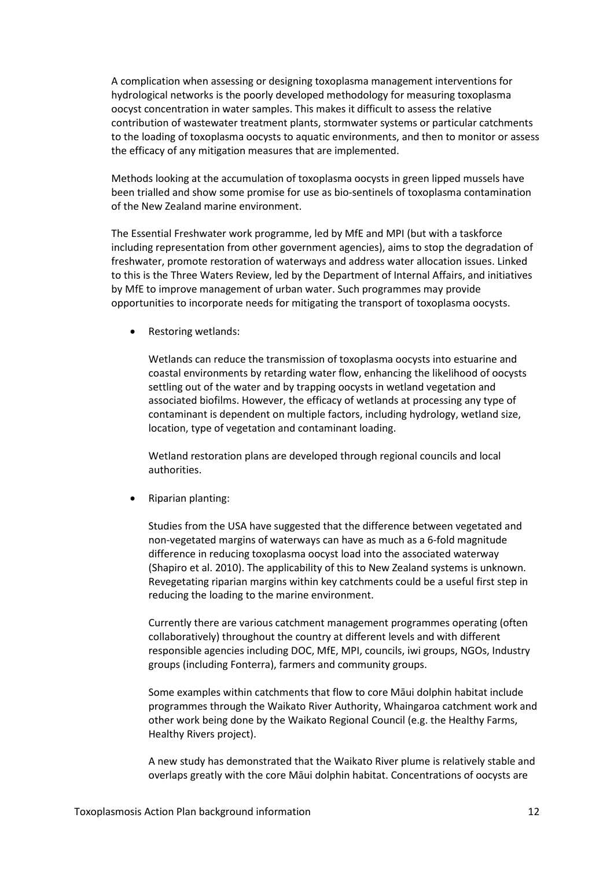A complication when assessing or designing toxoplasma management interventions for hydrological networks is the poorly developed methodology for measuring toxoplasma oocyst concentration in water samples. This makes it difficult to assess the relative contribution of wastewater treatment plants, stormwater systems or particular catchments to the loading of toxoplasma oocysts to aquatic environments, and then to monitor or assess the efficacy of any mitigation measures that are implemented.

Methods looking at the accumulation of toxoplasma oocysts in green lipped mussels have been trialled and show some promise for use as bio-sentinels of toxoplasma contamination of the New Zealand marine environment.

The Essential Freshwater work programme, led by MfE and MPI (but with a taskforce including representation from other government agencies), aims to stop the degradation of freshwater, promote restoration of waterways and address water allocation issues. Linked to this is the Three Waters Review, led by the Department of Internal Affairs, and initiatives by MfE to improve management of urban water. Such programmes may provide opportunities to incorporate needs for mitigating the transport of toxoplasma oocysts.

Restoring wetlands:

Wetlands can reduce the transmission of toxoplasma oocysts into estuarine and coastal environments by retarding water flow, enhancing the likelihood of oocysts settling out of the water and by trapping oocysts in wetland vegetation and associated biofilms. However, the efficacy of wetlands at processing any type of contaminant is dependent on multiple factors, including hydrology, wetland size, location, type of vegetation and contaminant loading.

Wetland restoration plans are developed through regional councils and local authorities.

• Riparian planting:

Studies from the USA have suggested that the difference between vegetated and non-vegetated margins of waterways can have as much as a 6-fold magnitude difference in reducing toxoplasma oocyst load into the associated waterway (Shapiro et al. 2010). The applicability of this to New Zealand systems is unknown. Revegetating riparian margins within key catchments could be a useful first step in reducing the loading to the marine environment.

Currently there are various catchment management programmes operating (often collaboratively) throughout the country at different levels and with different responsible agencies including DOC, MfE, MPI, councils, iwi groups, NGOs, Industry groups (including Fonterra), farmers and community groups.

Some examples within catchments that flow to core Māui dolphin habitat include programmes through the Waikato River Authority, Whaingaroa catchment work and other work being done by the Waikato Regional Council (e.g. the Healthy Farms, Healthy Rivers project).

A new study has demonstrated that the Waikato River plume is relatively stable and overlaps greatly with the core Māui dolphin habitat. Concentrations of oocysts are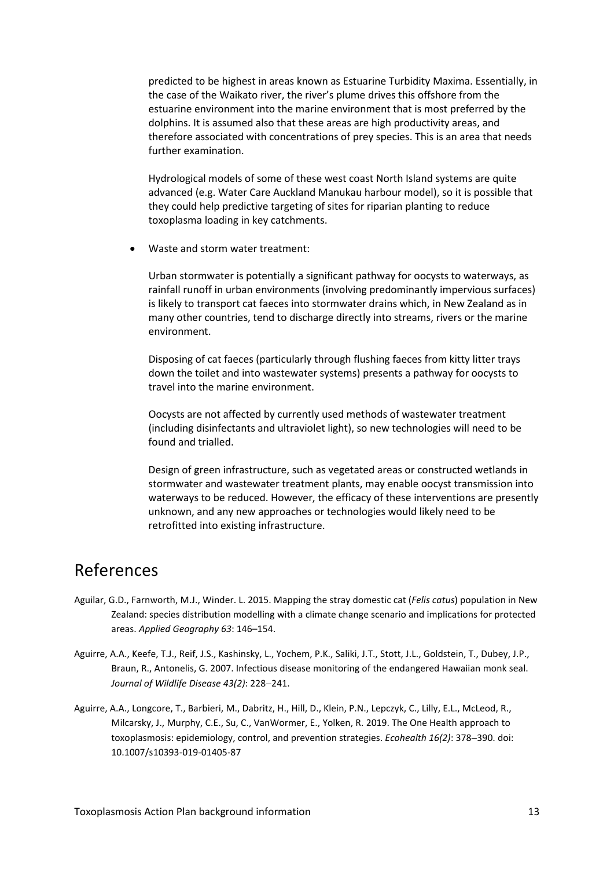predicted to be highest in areas known as Estuarine Turbidity Maxima. Essentially, in the case of the Waikato river, the river's plume drives this offshore from the estuarine environment into the marine environment that is most preferred by the dolphins. It is assumed also that these areas are high productivity areas, and therefore associated with concentrations of prey species. This is an area that needs further examination.

Hydrological models of some of these west coast North Island systems are quite advanced (e.g. Water Care Auckland Manukau harbour model), so it is possible that they could help predictive targeting of sites for riparian planting to reduce toxoplasma loading in key catchments.

• Waste and storm water treatment:

Urban stormwater is potentially a significant pathway for oocysts to waterways, as rainfall runoff in urban environments (involving predominantly impervious surfaces) is likely to transport cat faeces into stormwater drains which, in New Zealand as in many other countries, tend to discharge directly into streams, rivers or the marine environment.

Disposing of cat faeces (particularly through flushing faeces from kitty litter trays down the toilet and into wastewater systems) presents a pathway for oocysts to travel into the marine environment.

Oocysts are not affected by currently used methods of wastewater treatment (including disinfectants and ultraviolet light), so new technologies will need to be found and trialled.

Design of green infrastructure, such as vegetated areas or constructed wetlands in stormwater and wastewater treatment plants, may enable oocyst transmission into waterways to be reduced. However, the efficacy of these interventions are presently unknown, and any new approaches or technologies would likely need to be retrofitted into existing infrastructure.

### <span id="page-12-0"></span>References

- Aguilar, G.D., Farnworth, M.J., Winder. L. 2015. Mapping the stray domestic cat (*Felis catus*) population in New Zealand: species distribution modelling with a climate change scenario and implications for protected areas. *Applied Geography 63*: 146–154.
- Aguirre, A.A., Keefe, T.J., Reif, J.S., Kashinsky, L., Yochem, P.K., Saliki, J.T., Stott, J.L., Goldstein, T., Dubey, J.P., Braun, R., Antonelis, G. 2007. Infectious disease monitoring of the endangered Hawaiian monk seal. *Journal of Wildlife Disease 43(2)*: 228−241.
- Aguirre, A.A., Longcore, T., Barbieri, M., Dabritz, H., Hill, D., Klein, P.N., Lepczyk, C., Lilly, E.L., McLeod, R., Milcarsky, J., Murphy, C.E., Su, C., VanWormer, E., Yolken, R. 2019. The One Health approach to toxoplasmosis: epidemiology, control, and prevention strategies. *Ecohealth 16(2)*: 378−390. doi: 10.1007/s10393-019-01405-87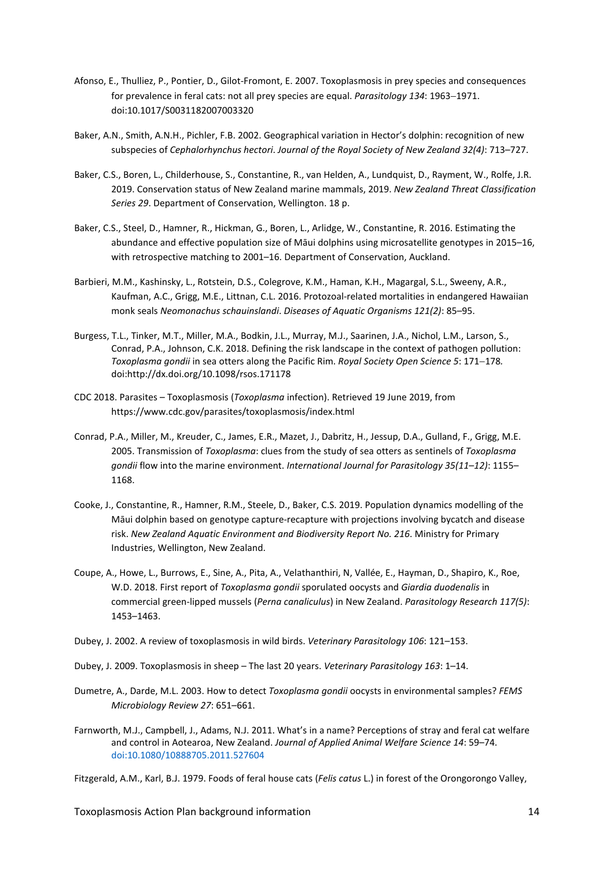- Afonso, E., Thulliez, P., Pontier, D., Gilot-[Fromont, E. 2007. Toxoplasmosis in prey species and consequenc](https://www.zotero.org/google-docs/?jwRZE3)es [for prevalence in feral cats: not all prey species are equal.](https://www.zotero.org/google-docs/?jwRZE3) *[Parasitology 134](https://www.zotero.org/google-docs/?jwRZE3)*: 1963−1971. doi:10.1017/S0031182007003320
- Baker, A.N., Smith, A.N.H., Pichler, F.B. 2002. Geographical variation in Hector's dolphin: recognition of new subspecies of *Cephalorhynchus hectori*. *Journal of the Royal Society of New Zealand 32(4)*: 713–727.
- Baker, C.S., Boren, L., Childerhouse, S., Constantine, R., van Helden, A., Lundquist, D., Rayment, W., Rolfe, J.R. 2019. Conservation status of New Zealand marine mammals, 2019. *New Zealand Threat Classification Series 29*. Department of Conservation, Wellington. 18 p.
- Baker, C.S., Steel, D., Hamner, R., Hickman, G., Boren, L., Arlidge, W., Constantine, R. 2016. Estimating the abundance and effective population size of Māui dolphins using microsatellite genotypes in 2015–16, with retrospective matching to 2001–16. Department of Conservation, Auckland.
- Barbieri, M.M., Kashinsky, L., Rotstein, D.S., Colegrove, K.M., Haman, K.H., Magargal, S.L., Sweeny, A.R., Kaufman, A.C., Grigg, M.E., Littnan, C.L. 2016. Protozoal-related mortalities in endangered Hawaiian monk seals *Neomonachus schauinslandi*. *Diseases of Aquatic Organisms 121(2)*: 85–95.
- [Burgess, T.L., Tinker, M.T., Miller, M.A., Bodkin, J.L., Murray, M.J., Saarinen, J.A., Nichol, L.M., Larson, S.,](https://www.zotero.org/google-docs/?jwRZE3)  [Conrad, P.A., Johnson, C.K. 2018. Defining the risk landscape in the context of pathog](https://www.zotero.org/google-docs/?jwRZE3)en pollution: *Toxoplasma gondii* [in sea otters along the Pacific Rim.](https://www.zotero.org/google-docs/?jwRZE3) *[Royal Society Open Science](https://www.zotero.org/google-docs/?jwRZE3) 5*: 171−178*.* [doi:http://dx.doi.org/10.1098/rsos.171178](https://www.zotero.org/google-docs/?jwRZE3)
- CDC 2018. Parasites Toxoplasmosis (*Toxoplasma* infection). Retrieved 19 June 2019, from https://www.cdc.gov/parasites/toxoplasmosis/index.html
- Conrad, P.A., Miller, M., Kreuder, C., James, E.R., Mazet, J., Dabritz, H., Jessup, D.A., Gulland, F., Grigg, M.E. 2005. Transmission of *Toxoplasma*: clues from the study of sea otters as sentinels of *Toxoplasma gondii* flow into the marine environment. *International Journal for Parasitology 35(11*–*12)*: 1155– 1168.
- Cooke, J., Constantine, R., Hamner, R.M., Steele, D., Baker, C.S. 2019. Population dynamics modelling of the Māui dolphin based on genotype capture-recapture with projections involving bycatch and disease risk. *New Zealand Aquatic Environment and Biodiversity Report No. 216*. Ministry for Primary Industries, Wellington, New Zealand.
- Coupe, A., Howe, L., Burrows, E., Sine, A., Pita, A., Velathanthiri, N, Vallée, E., Hayman, D., Shapiro, K., Roe, W.D. 2018. First report of *Toxoplasma gondii* sporulated oocysts and *Giardia duodenalis* in commercial green-lipped mussels (*Perna canaliculus*) in New Zealand. *Parasitology Research 117(5)*: 1453–1463.
- Dubey, J. 2002. A review of toxoplasmosis in wild birds. *Veterinary Parasitology 106*: 121–153.
- Dubey, J. 2009. Toxoplasmosis in sheep The last 20 years. *Veterinary Parasitology 163*: 1–14.
- Dumetre, A., Darde, M.L. 2003. How to detect *Toxoplasma gondii* oocysts in environmental samples? *FEMS Microbiology Review 27*: 651–661.
- [Farnworth, M.J., Campbell, J., Adams, N.J. 2011. What's in a](https://www.zotero.org/google-docs/?jwRZE3) name? Perceptions of stray and feral cat welfare [and control in Aotearoa, New Zealand.](https://www.zotero.org/google-docs/?jwRZE3) *[Journal of Applied Animal Welfare Science 14](https://www.zotero.org/google-docs/?jwRZE3)*: [59–74.](https://www.zotero.org/google-docs/?jwRZE3)  [doi:10.1080/10888705.2011.527604](https://www.zotero.org/google-docs/?jwRZE3)

[Fitzgerald, A.M., Karl, B.J. 1979. Foods of feral house cats \(](https://www.zotero.org/google-docs/?jwRZE3)*Felis catus* L.) in forest of the Orongorongo Valley,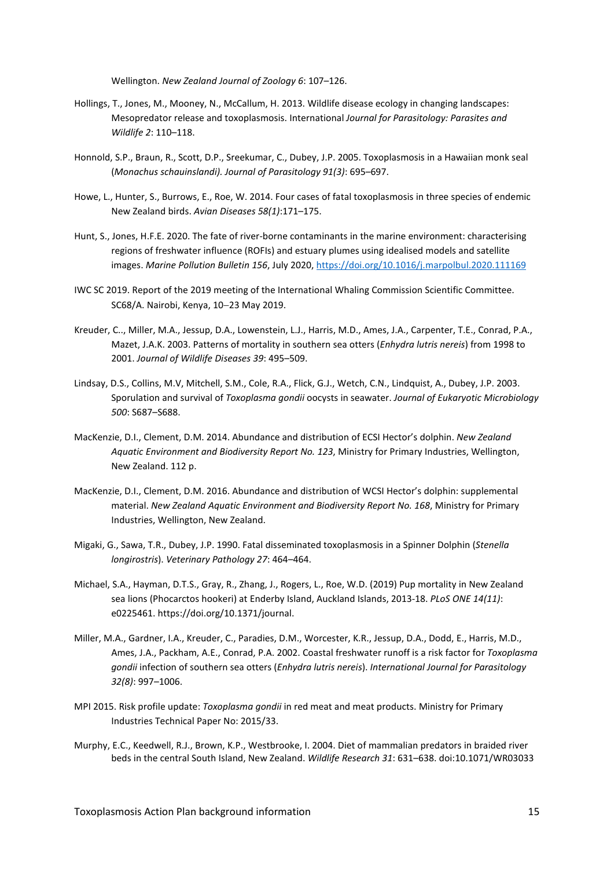[Wellington.](https://www.zotero.org/google-docs/?jwRZE3) *[New Zealand Journal of Zoology 6](https://www.zotero.org/google-docs/?jwRZE3)*: [107–126.](https://www.zotero.org/google-docs/?jwRZE3)

- Hollings, T., Jones, M., Mooney, N., McCallum, H. 2013. Wildlife disease ecology in changing landscapes: Mesopredator release and toxoplasmosis. International *Journal for Parasitology: Parasites and Wildlife 2*: 110–118.
- Honnold, S.P., Braun, R., Scott, D.P., Sreekumar, C., Dubey, J.P. 2005. Toxoplasmosis in a Hawaiian monk seal (*Monachus schauinslandi). Journal of Parasitology 91(3)*: 695–697.
- Howe, L., Hunter, S., Burrows, E., Roe, W. 2014. Four cases of fatal toxoplasmosis in three species of endemic New Zealand birds. *Avian Diseases 58(1)*:171–175.
- Hunt, S., Jones, H.F.E. 2020. The fate of river-borne contaminants in the marine environment: characterising regions of freshwater influence (ROFIs) and estuary plumes using idealised models and satellite images. *Marine Pollution Bulletin 156*, July 2020,<https://doi.org/10.1016/j.marpolbul.2020.111169>
- IWC SC 2019. Report of the 2019 meeting of the International Whaling Commission Scientific Committee. SC68/A. Nairobi, Kenya, 10−23 May 2019.
- Kreuder, C.., Miller, M.A., Jessup, D.A., Lowenstein, L.J., Harris, M.D., Ames, J.A., Carpenter, T.E., Conrad, P.A., Mazet, J.A.K. 2003. Patterns of mortality in southern sea otters (*Enhydra lutris nereis*) from 1998 to 2001. *Journal of Wildlife Diseases 39*: 495–509.
- Lindsay, D.S., Collins, M.V, Mitchell, S.M., Cole, R.A., Flick, G.J., Wetch, C.N., Lindquist, A., Dubey, J.P. 2003. Sporulation and survival of *Toxoplasma gondii* oocysts in seawater. *Journal of Eukaryotic Microbiology 500*: S687–S688.
- MacKenzie, D.I., Clement, D.M. 2014. Abundance and distribution of ECSI Hector's dolphin. *New Zealand Aquatic Environment and Biodiversity Report No. 123*, Ministry for Primary Industries, Wellington, New Zealand. 112 p.
- MacKenzie, D.I., Clement, D.M. 2016. Abundance and distribution of WCSI Hector's dolphin: supplemental material. *New Zealand Aquatic Environment and Biodiversity Report No. 168*, Ministry for Primary Industries, Wellington, New Zealand.
- Migaki, G., Sawa, T.R., Dubey, J.P. 1990. Fatal disseminated toxoplasmosis in a Spinner Dolphin (*Stenella longirostris*). *Veterinary Pathology 27*: 464–464.
- Michael, S.A., Hayman, D.T.S., Gray, R., Zhang, J., Rogers, L., Roe, W.D. (2019) Pup mortality in New Zealand sea lions (Phocarctos hookeri) at Enderby Island, Auckland Islands, 2013-18. *PLoS ONE 14(11)*: e0225461. https://doi.org/10.1371/journal.
- Miller, M.A., Gardner, I.A., Kreuder, C., Paradies, D.M., Worcester, K.R., Jessup, D.A., Dodd, E., Harris, M.D., Ames, J.A., Packham, A.E., Conrad, P.A. 2002. Coastal freshwater runoff is a risk factor for *Toxoplasma gondii* infection of southern sea otters (*Enhydra lutris nereis*). *International Journal for Parasitology 32(8)*: 997–1006.
- MPI 2015. Risk profile update: *Toxoplasma gondii* in red meat and meat products. Ministry for Primary Industries Technical Paper No: 2015/33.
- [Murphy, E.C., Keedwell, R.J., Brown, K.P., Westbrooke, I. 2004. Diet of mammalian predators in braided river](https://www.zotero.org/google-docs/?jwRZE3)  [beds in the central South Island, New Zealand.](https://www.zotero.org/google-docs/?jwRZE3) *[Wildlife Research 31](https://www.zotero.org/google-docs/?jwRZE3)*: 631–[638. doi:10.1071/WR03033](https://www.zotero.org/google-docs/?jwRZE3)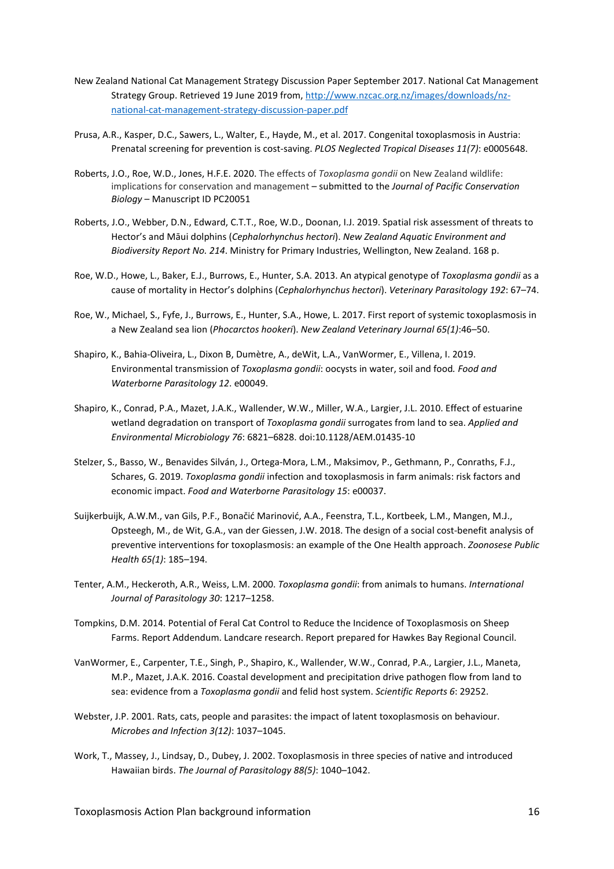- New Zealand National Cat Management Strategy Discussion Paper September 2017. National Cat Management Strategy Group. Retrieved 19 June 2019 from, [http://www.nzcac.org.nz/images/downloads/nz](http://www.nzcac.org.nz/images/downloads/nz-national-cat-management-strategy-discussion-paper.pdf)national-cat-management-strategy[-discussion-paper.pdf](http://www.nzcac.org.nz/images/downloads/nz-national-cat-management-strategy-discussion-paper.pdf)
- Prusa, A.R., Kasper, D.C., Sawers, L., Walter, E., Hayde, M., et al. 2017. Congenital toxoplasmosis in Austria: Prenatal screening for prevention is cost-saving. *PLOS Neglected Tropical Diseases 11(7)*: e0005648.
- Roberts, J.O., Roe, W.D., Jones, H.F.E. 2020. The effects of *Toxoplasma gondii* on New Zealand wildlife: implications for conservation and management – submitted to the *Journal of Pacific Conservation Biology* – Manuscript ID PC20051
- Roberts, J.O., Webber, D.N., Edward, C.T.T., Roe, W.D., Doonan, I.J. 2019. Spatial risk assessment of threats to Hector's and Māui dolphins (*Cephalorhynchus hectori*). *New Zealand Aquatic Environment and Biodiversity Report No. 214*. Ministry for Primary Industries, Wellington, New Zealand. 168 p.
- Roe, W.D., Howe, L., Baker, E.J., Burrows, E., Hunter, S.A. 2013. An atypical genotype of *Toxoplasma gondii* as a cause of mortality in Hector's dolphins (*Cephalorhynchus hectori*). *Veterinary Parasitology 192*: 67–74.
- Roe, W., Michael, S., Fyfe, J., Burrows, E., Hunter, S.A., Howe, L. 2017. First report of systemic toxoplasmosis in a New Zealand sea lion (*Phocarctos hookeri*). *New Zealand Veterinary Journal 65(1)*:46–50.
- Shapiro, K., Bahia-Oliveira, L., Dixon B, Dumètre, A., deWit, L.A., VanWormer, E., Villena, I. 2019. Environmental transmission of *Toxoplasma gondii*: oocysts in water, soil and food*. Food and Waterborne Parasitology 12*. e00049.
- Shapiro, K., Conrad, P.A., Mazet, J.A.K., Wallender, W.W., Miller, W.A., Largier, J.L. 2010. Effect of estuarine wetland degradation on transport of *Toxoplasma gondii* surrogates from land to sea. *Applied and Environmental Microbiology 76*: 6821–6828. doi:10.1128/AEM.01435-10
- Stelzer, S., Basso, W., Benavides Silván, J., Ortega-Mora, L.M., Maksimov, P., Gethmann, P., Conraths, F.J., Schares, G. 2019. *Toxoplasma gondii* infection and toxoplasmosis in farm animals: risk factors and economic impact. *Food and Waterborne Parasitology 15*: e00037.
- Suijkerbuijk, A.W.M., van Gils, P.F., Bonačić Marinović, A.A., Feenstra, T.L., Kortbeek, L.M., Mangen, M.J., Opsteegh, M., de Wit, G.A., van der Giessen, J.W. 2018. The design of a social cost-benefit analysis of preventive interventions for toxoplasmosis: an example of the One Health approach. *Zoonosese Public Health 65(1)*: 185–194.
- Tenter, A.M., Heckeroth, A.R., Weiss, L.M. 2000. *Toxoplasma gondii*: from animals to humans. *International Journal of Parasitology 30*: 1217–1258.
- Tompkins, D.M. 2014. Potential of Feral Cat Control to Reduce the Incidence of Toxoplasmosis on Sheep Farms. Report Addendum. Landcare research. Report prepared for Hawkes Bay Regional Council.
- VanWormer, E., Carpenter, T.E., Singh, P., Shapiro, K., Wallender, W.W., Conrad, P.A., Largier, J.L., Maneta, M.P., Mazet, J.A.K. 2016. Coastal development and precipitation drive pathogen flow from land to sea: evidence from a *Toxoplasma gondii* and felid host system. *Scientific Reports 6*: 29252.
- Webster, J.P. 2001. Rats, cats, people and parasites: the impact of latent toxoplasmosis on behaviour. *Microbes and Infection 3(12)*: 1037–1045.
- Work, T., Massey, J., Lindsay, D., Dubey, J. 2002. Toxoplasmosis in three species of native and introduced Hawaiian birds. *The Journal of Parasitology 88(5)*: 1040–1042.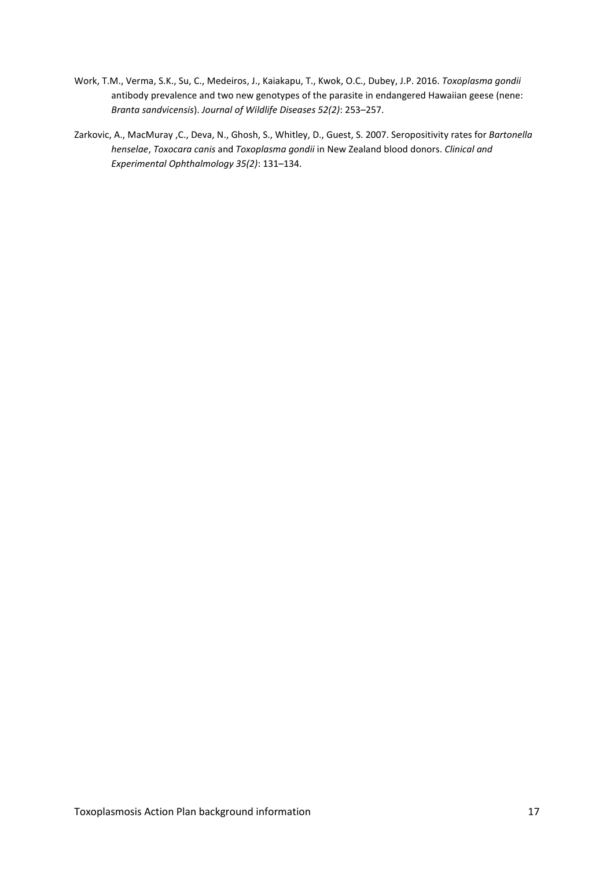- Work, T.M., Verma, S.K., Su, C., Medeiros, J., Kaiakapu, T., Kwok, O.C., Dubey, J.P. 2016. *Toxoplasma gondii* antibody prevalence and two new genotypes of the parasite in endangered Hawaiian geese (nene: *Branta sandvicensis*). *Journal of Wildlife Diseases 52(2)*: 253–257.
- Zarkovic, A., MacMuray ,C., Deva, N., Ghosh, S., Whitley, D., Guest, S. 2007. Seropositivity rates for *Bartonella henselae*, *Toxocara canis* and *Toxoplasma gondii* in New Zealand blood donors. *Clinical and Experimental Ophthalmology 35(2)*: 131–134.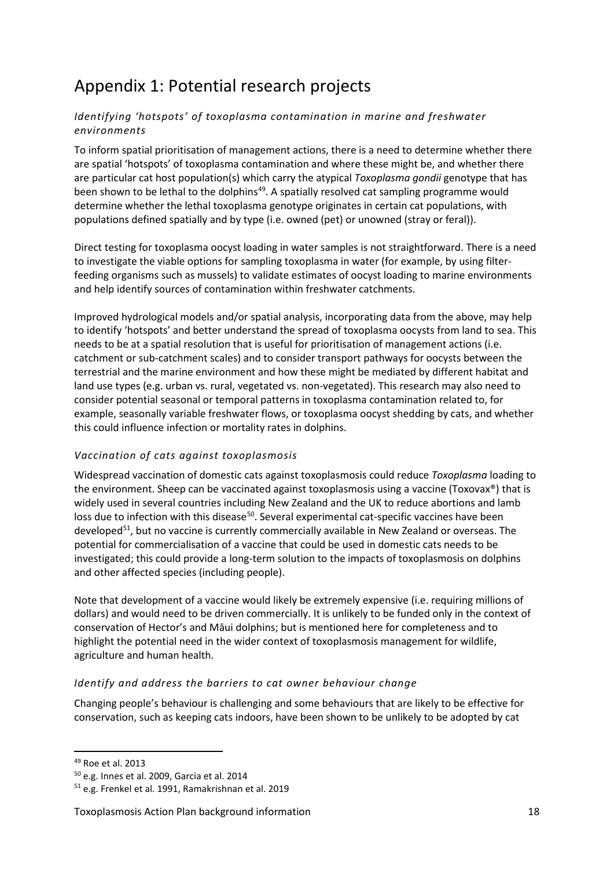# <span id="page-17-0"></span>Appendix 1: Potential research projects

#### *Identifying 'hotspots' of toxoplasma contamination in marine and freshwater environments*

To inform spatial prioritisation of management actions, there is a need to determine whether there are spatial 'hotspots' of toxoplasma contamination and where these might be, and whether there are particular cat host population(s) which carry the atypical *Toxoplasma gondii* genotype that has been shown to be lethal to the dolphins<sup>[49](#page-17-1)</sup>. A spatially resolved cat sampling programme would determine whether the lethal toxoplasma genotype originates in certain cat populations, with populations defined spatially and by type (i.e. owned (pet) or unowned (stray or feral)).

Direct testing for toxoplasma oocyst loading in water samples is not straightforward. There is a need to investigate the viable options for sampling toxoplasma in water (for example, by using filterfeeding organisms such as mussels) to validate estimates of oocyst loading to marine environments and help identify sources of contamination within freshwater catchments.

Improved hydrological models and/or spatial analysis, incorporating data from the above, may help to identify 'hotspots' and better understand the spread of toxoplasma oocysts from land to sea. This needs to be at a spatial resolution that is useful for prioritisation of management actions (i.e. catchment or sub-catchment scales) and to consider transport pathways for oocysts between the terrestrial and the marine environment and how these might be mediated by different habitat and land use types (e.g. urban vs. rural, vegetated vs. non-vegetated). This research may also need to consider potential seasonal or temporal patterns in toxoplasma contamination related to, for example, seasonally variable freshwater flows, or toxoplasma oocyst shedding by cats, and whether this could influence infection or mortality rates in dolphins.

#### *Vaccination of cats against toxoplasmosis*

Widespread vaccination of domestic cats against toxoplasmosis could reduce *Toxoplasma* loading to the environment. Sheep can be vaccinated against toxoplasmosis using a vaccine (Toxovax®) that is widely used in several countries including New Zealand and the UK to reduce abortions and lamb loss due to infection with this disease<sup>50</sup>. Several experimental cat-specific vaccines have been developed<sup>[51](#page-17-3)</sup>, but no vaccine is currently commercially available in New Zealand or overseas. The potential for commercialisation of a vaccine that could be used in domestic cats needs to be investigated; this could provide a long-term solution to the impacts of toxoplasmosis on dolphins and other affected species (including people).

Note that development of a vaccine would likely be extremely expensive (i.e. requiring millions of dollars) and would need to be driven commercially. It is unlikely to be funded only in the context of conservation of Hector's and Māui dolphins; but is mentioned here for completeness and to highlight the potential need in the wider context of toxoplasmosis management for wildlife, agriculture and human health.

#### *Identify and address the barriers to cat owner behaviour change*

Changing people's behaviour is challenging and some behaviours that are likely to be effective for conservation, such as keeping cats indoors, have been shown to be unlikely to be adopted by cat

<span id="page-17-1"></span><sup>49</sup> Roe et al. 2013

<span id="page-17-2"></span><sup>50</sup> e.g. Innes et al. 2009, Garcia et al. 2014

<span id="page-17-3"></span><sup>51</sup> e.g. Frenkel et al. 1991, Ramakrishnan et al. 2019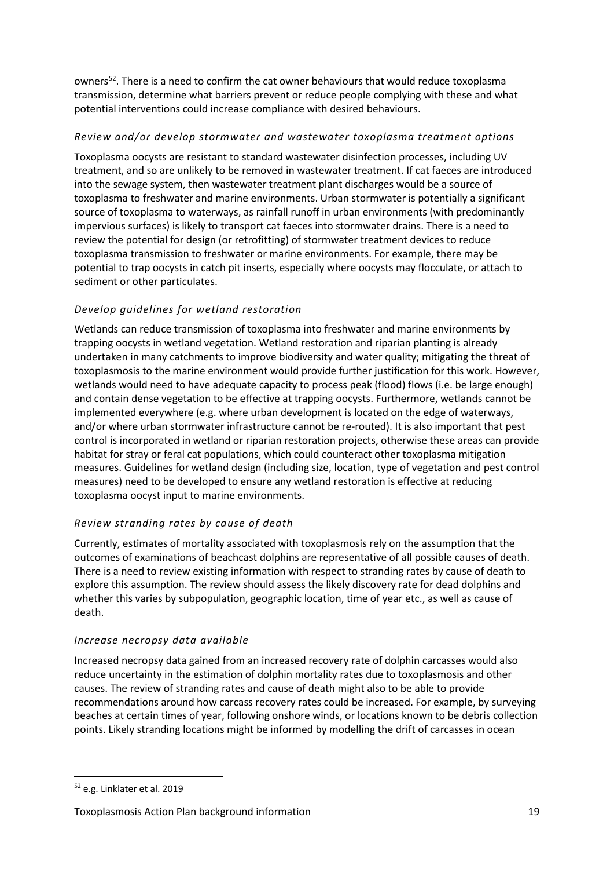owners<sup>[52](#page-18-0)</sup>. There is a need to confirm the cat owner behaviours that would reduce toxoplasma transmission, determine what barriers prevent or reduce people complying with these and what potential interventions could increase compliance with desired behaviours.

#### *Review and/or develop stormwater and wastewater toxoplasma treatment options*

Toxoplasma oocysts are resistant to standard wastewater disinfection processes, including UV treatment, and so are unlikely to be removed in wastewater treatment. If cat faeces are introduced into the sewage system, then wastewater treatment plant discharges would be a source of toxoplasma to freshwater and marine environments. Urban stormwater is potentially a significant source of toxoplasma to waterways, as rainfall runoff in urban environments (with predominantly impervious surfaces) is likely to transport cat faeces into stormwater drains. There is a need to review the potential for design (or retrofitting) of stormwater treatment devices to reduce toxoplasma transmission to freshwater or marine environments. For example, there may be potential to trap oocysts in catch pit inserts, especially where oocysts may flocculate, or attach to sediment or other particulates.

#### *Develop guidelines for wetland restoration*

Wetlands can reduce transmission of toxoplasma into freshwater and marine environments by trapping oocysts in wetland vegetation. Wetland restoration and riparian planting is already undertaken in many catchments to improve biodiversity and water quality; mitigating the threat of toxoplasmosis to the marine environment would provide further justification for this work. However, wetlands would need to have adequate capacity to process peak (flood) flows (i.e. be large enough) and contain dense vegetation to be effective at trapping oocysts. Furthermore, wetlands cannot be implemented everywhere (e.g. where urban development is located on the edge of waterways, and/or where urban stormwater infrastructure cannot be re-routed). It is also important that pest control is incorporated in wetland or riparian restoration projects, otherwise these areas can provide habitat for stray or feral cat populations, which could counteract other toxoplasma mitigation measures. Guidelines for wetland design (including size, location, type of vegetation and pest control measures) need to be developed to ensure any wetland restoration is effective at reducing toxoplasma oocyst input to marine environments.

#### *Review stranding rates by cause of death*

Currently, estimates of mortality associated with toxoplasmosis rely on the assumption that the outcomes of examinations of beachcast dolphins are representative of all possible causes of death. There is a need to review existing information with respect to stranding rates by cause of death to explore this assumption. The review should assess the likely discovery rate for dead dolphins and whether this varies by subpopulation, geographic location, time of year etc., as well as cause of death.

#### *Increase necropsy data available*

Increased necropsy data gained from an increased recovery rate of dolphin carcasses would also reduce uncertainty in the estimation of dolphin mortality rates due to toxoplasmosis and other causes. The review of stranding rates and cause of death might also to be able to provide recommendations around how carcass recovery rates could be increased. For example, by surveying beaches at certain times of year, following onshore winds, or locations known to be debris collection points. Likely stranding locations might be informed by modelling the drift of carcasses in ocean

<span id="page-18-0"></span><sup>52</sup> e.g. Linklater et al. 2019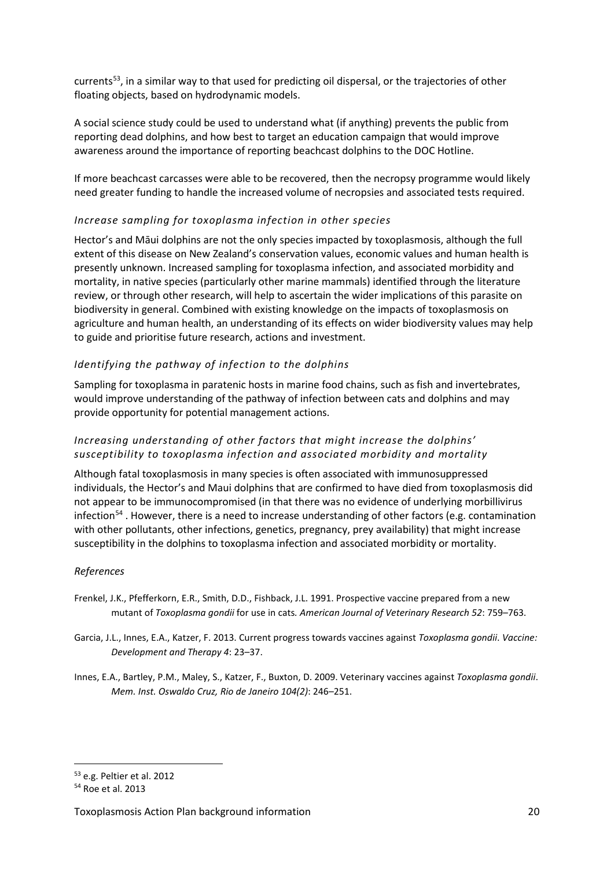currents<sup>[53](#page-19-0)</sup>, in a similar way to that used for predicting oil dispersal, or the trajectories of other floating objects, based on hydrodynamic models.

A social science study could be used to understand what (if anything) prevents the public from reporting dead dolphins, and how best to target an education campaign that would improve awareness around the importance of reporting beachcast dolphins to the DOC Hotline.

If more beachcast carcasses were able to be recovered, then the necropsy programme would likely need greater funding to handle the increased volume of necropsies and associated tests required.

#### *Increase sampling for toxoplasma infection in other species*

Hector's and Māui dolphins are not the only species impacted by toxoplasmosis, although the full extent of this disease on New Zealand's conservation values, economic values and human health is presently unknown. Increased sampling for toxoplasma infection, and associated morbidity and mortality, in native species (particularly other marine mammals) identified through the literature review, or through other research, will help to ascertain the wider implications of this parasite on biodiversity in general. Combined with existing knowledge on the impacts of toxoplasmosis on agriculture and human health, an understanding of its effects on wider biodiversity values may help to guide and prioritise future research, actions and investment.

#### *Identifying the pathway of infection to the dolphins*

Sampling for toxoplasma in paratenic hosts in marine food chains, such as fish and invertebrates, would improve understanding of the pathway of infection between cats and dolphins and may provide opportunity for potential management actions.

#### *Increasing understanding of other factors that might increase the dolphins' susceptibility to toxoplasma infection and associated morbidity and mortality*

Although fatal toxoplasmosis in many species is often associated with immunosuppressed individuals, the Hector's and Maui dolphins that are confirmed to have died from toxoplasmosis did not appear to be immunocompromised (in that there was no evidence of underlying morbillivirus infection<sup>[54](#page-19-1)</sup>. However, there is a need to increase understanding of other factors (e.g. contamination with other pollutants, other infections, genetics, pregnancy, prey availability) that might increase susceptibility in the dolphins to toxoplasma infection and associated morbidity or mortality.

#### *References*

- Frenkel, J.K., Pfefferkorn, E.R., Smith, D.D., Fishback, J.L. 1991. Prospective vaccine prepared from a new mutant of *Toxoplasma gondii* for use in cats*. American Journal of Veterinary Research 52*: 759–763.
- Garcia, J.L., Innes, E.A., Katzer, F. 2013. Current progress towards vaccines against *Toxoplasma gondii*. *Vaccine: Development and Therapy 4*: 23–37.
- Innes, E.A., Bartley, P.M., Maley, S., Katzer, F., Buxton, D. 2009. Veterinary vaccines against *Toxoplasma gondii*. *Mem. Inst. Oswaldo Cruz, Rio de Janeiro 104(2)*: 246–251.

<span id="page-19-0"></span><sup>53</sup> e.g. Peltier et al. 2012

<span id="page-19-1"></span><sup>54</sup> Roe et al. 2013

Toxoplasmosis Action Plan background information 20